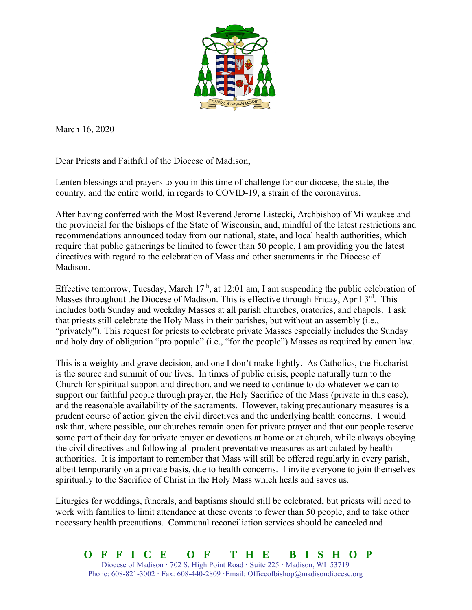

March 16, 2020

Dear Priests and Faithful of the Diocese of Madison,

Lenten blessings and prayers to you in this time of challenge for our diocese, the state, the country, and the entire world, in regards to COVID-19, a strain of the coronavirus.

After having conferred with the Most Reverend Jerome Listecki, Archbishop of Milwaukee and the provincial for the bishops of the State of Wisconsin, and, mindful of the latest restrictions and recommendations announced today from our national, state, and local health authorities, which require that public gatherings be limited to fewer than 50 people, I am providing you the latest directives with regard to the celebration of Mass and other sacraments in the Diocese of Madison.

Effective tomorrow, Tuesday, March  $17<sup>th</sup>$ , at 12:01 am, I am suspending the public celebration of Masses throughout the Diocese of Madison. This is effective through Friday, April 3<sup>rd</sup>. This includes both Sunday and weekday Masses at all parish churches, oratories, and chapels. I ask that priests still celebrate the Holy Mass in their parishes, but without an assembly (i.e., "privately"). This request for priests to celebrate private Masses especially includes the Sunday and holy day of obligation "pro populo" (i.e., "for the people") Masses as required by canon law.

This is a weighty and grave decision, and one I don't make lightly. As Catholics, the Eucharist is the source and summit of our lives. In times of public crisis, people naturally turn to the Church for spiritual support and direction, and we need to continue to do whatever we can to support our faithful people through prayer, the Holy Sacrifice of the Mass (private in this case), and the reasonable availability of the sacraments. However, taking precautionary measures is a prudent course of action given the civil directives and the underlying health concerns. I would ask that, where possible, our churches remain open for private prayer and that our people reserve some part of their day for private prayer or devotions at home or at church, while always obeying the civil directives and following all prudent preventative measures as articulated by health authorities. It is important to remember that Mass will still be offered regularly in every parish, albeit temporarily on a private basis, due to health concerns. I invite everyone to join themselves spiritually to the Sacrifice of Christ in the Holy Mass which heals and saves us.

Liturgies for weddings, funerals, and baptisms should still be celebrated, but priests will need to work with families to limit attendance at these events to fewer than 50 people, and to take other necessary health precautions. Communal reconciliation services should be canceled and

**OFFICE OF THE BISHOP**  Diocese of Madison  $\cdot$  702 S. High Point Road  $\cdot$  Suite 225  $\cdot$  Madison, WI 53719 Phone:  $608-821-3002 \cdot$  Fax:  $608-440-2809 \cdot$  Email: Officeofbishop@madisondiocese.org